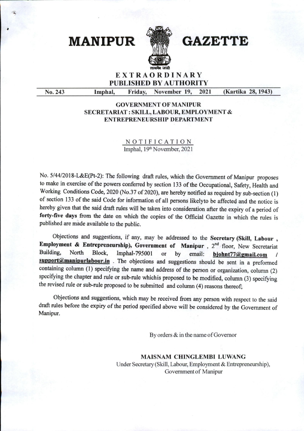MANIPUR **WE GAZETTE** 



## EXTRAORDINARY PUBLISHED BY AUTHORITY

No. 243 Imphal, Friday, November 19, 2021 (Kartika 28,1943)

## GOVERNMENT OF MANIPUR SECRETARIAT : SKILL, LABOUR, EMPLOYMENT & ENTREPRENEURSHIP DEPARTMENT

NOTIFICATION Imphal, 19<sup>th</sup> November, 2021

No. 5/44/2018-L&E(Pt-2): The following draft rules, which the Government of Manipur proposes to make in exercise of the powers conferred by section 133 of the Occupational, Safety, Health and Working Conditions Code, 2020 (No.37 of 2020), are hereby notified as required by sub-section (1) of section 133 of the said Code for information of all persons likely to be affected and the notice is hereby given that the said draft rules will be taken into consideration after the expiry of a period of forty-five days from the date on which the copies of the Official Gazette in which the rules is published are made available to the public.

Objections and suggestions, if any, may be addressed to the Secretary (Skill, Labour , Employment & Entrepreneurship), Government of Manipur,  $2^{nd}$  floor, New Secretariat Building, North Block, Imphal-795001 or by email: bjohnt77@gmail.com support@manipurlabour.in . The objections and suggestions should be sent in a preformed containing column (1) specifying the name and address of the person or organization, column (2) specifying the chapter and rule or sub-rule whichis proposed to be modified, column (3) specifying the revised rule or sub-rule proposed to be submitted and column (4) reasons thereof;

Objections and suggestions, which may be received from any person with respect to the said draft rules before the expiry of the period specified above will be considered by the Government of Manipur.

By orders & in the name of Governor

MAISNAM CHINGLEMBI LUWANG Under Secretary (Skill, Labour, Employment & Entrepreneurship), Government of Manipur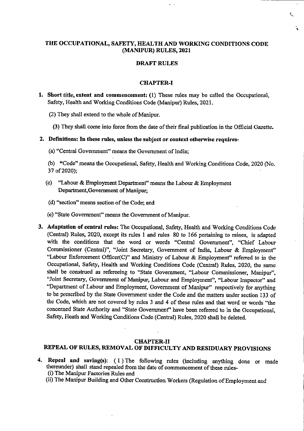### THE OCCUPATIONAL, SAFETY, HEALTH AND WORKING CONDITIONS CODE (MANIPUR) RULES, 2021

#### DRAFT RULES

#### CHAPTER-I

- 1. Short title, extent and commencement: (1) These rules may be called the Occupational, Safety, Health and Working Conditions Code (Manipur) Rules, 2021.
	- (2) They shall extend to the whole of Manipur.
		- (3) They shall come into force from the date of their final publication in the Official Gazette.

#### 2. Definitions: In these rules, unless the subject or context otherwise requires-

- (a) "Central Government" means the Government of India;
- (b) "Code" means the Occupational, Safety, Health and Working Conditions Code, 2020 (No. 37 of2020);
- (c) "Labour & Employment Department" means the Labour & Employment Department, Government of Manipur;
- (d) "section" means section of the Code; and
- (e) "State Government" means the Government of Manipur.
- 3. Adaptation of central rules: The Occupational, Safety, Health and Working Conditions Code (Central) Rules, 2020, except its rules 1 and rules 80 to 166 pertaining to mines, is adapted with the conditions that the word or words "Central Government", "Chief Labour Commissioner (Central)", "Joint Secretary, Government of India, Labour & Employment" "Labour Enforcement Officer(C)" and Ministry of Labour & Employment" referred to in the Occupational, Safety, Health and Working Conditions Code (Central) Rules, 2020, the same shall be construed as refereeing to "State Government, "Labour Commissioner, Manipur", "Joint Secretary, Government of Manipur, Labour and Employment", "Labour Inspector" and "Department of Labour and Employment, Government of Manipur" respectively for anything to be prescribed by the State Government under the Code and the matters under section 133 of the Code, which are not covered by rules 3 and 4 of these rules and that word or words "the concerned State Authority and "State Government" have been referred to in the Occupational, Safety. Heath and Working Conditions Code (Central) Rules, 2020 shall be deleted.

#### CHAPTER-II

## REPEAL OF RULES, REMOVAL OF DIFFICULTY AND RESIDUARY PROVISIONS

- 4, Repeal and saving(s): (I) The following rules (including anything done or made thereunder) shall stand repealed from the date of commencement of these rules- (i) The Manipur Factories Rules and
	- (ii) The Manipur Building and Other Construction Workers (Regulation of Employment and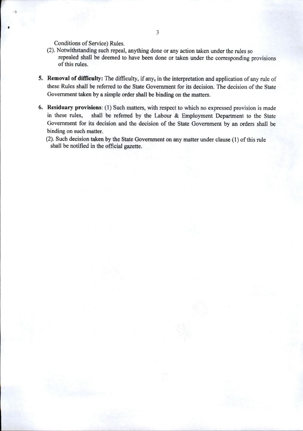Conditions of Service) Rules.

- (2). Notwithstanding such repeal, anything done or any action taken under the rules so repealed shall be deemed to have been done or taken under the corresponding provisions of this rules.
- 5. Removal of difficulty: The difficulty, if any, in the interpretation and application of any rule of these Rules shall be referred to the State Government for its decision. The decision of the State Government taken by a simple order shall be binding on the matters.
- 6. Residuary provisions: (1) Such matters, with respect to which no expressed provision is made in these rules, shall be referred by the Labour & Employment Department to the State Government for its decision and the decision of the State Government by an orders shall be binding on such matter.
	- (2). Such decision taken by the State Government on any matter under clause (I) of this rule shall be notified in the official gazette.